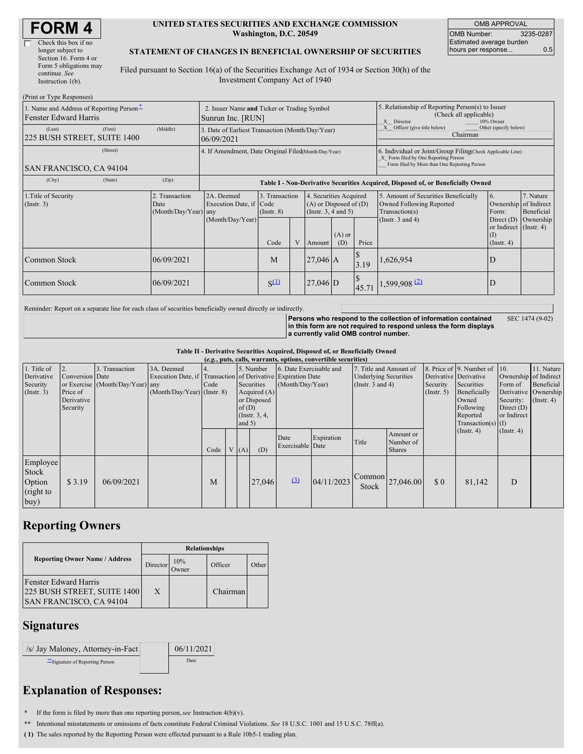| <b>FORM4</b> |  |
|--------------|--|
|--------------|--|

| Check this box if no   |
|------------------------|
| longer subject to      |
| Section 16. Form 4 or  |
| Form 5 obligations may |
| continue. See          |
| Instruction $l(b)$ .   |

#### **UNITED STATES SECURITIES AND EXCHANGE COMMISSION Washington, D.C. 20549**

| <b>OMB APPROVAL</b>      |           |  |  |  |  |
|--------------------------|-----------|--|--|--|--|
| <b>OMB Number:</b>       | 3235-0287 |  |  |  |  |
| Estimated average burden |           |  |  |  |  |
| hours per response       | 0.5       |  |  |  |  |

#### **STATEMENT OF CHANGES IN BENEFICIAL OWNERSHIP OF SECURITIES**

Filed pursuant to Section 16(a) of the Securities Exchange Act of 1934 or Section 30(h) of the Investment Company Act of 1940

| (Print or Type Responses)                                                |                                                                                                                                                                                                                    |            |                                                                                  |                                                                                    |                                                  |                                    |                                                                                                       |                                                                                 |                                                                                                                                                    |                                                                        |           |  |
|--------------------------------------------------------------------------|--------------------------------------------------------------------------------------------------------------------------------------------------------------------------------------------------------------------|------------|----------------------------------------------------------------------------------|------------------------------------------------------------------------------------|--------------------------------------------------|------------------------------------|-------------------------------------------------------------------------------------------------------|---------------------------------------------------------------------------------|----------------------------------------------------------------------------------------------------------------------------------------------------|------------------------------------------------------------------------|-----------|--|
| 1. Name and Address of Reporting Person-<br><b>Fenster Edward Harris</b> |                                                                                                                                                                                                                    |            | 2. Issuer Name and Ticker or Trading Symbol<br>Sunrun Inc. [RUN]                 |                                                                                    |                                                  |                                    | 5. Relationship of Reporting Person(s) to Issuer<br>(Check all applicable)<br>X Director<br>10% Owner |                                                                                 |                                                                                                                                                    |                                                                        |           |  |
| (Last)<br>225 BUSH STREET, SUITE 1400                                    | (First)                                                                                                                                                                                                            | (Middle)   | 3. Date of Earliest Transaction (Month/Day/Year)<br>06/09/2021                   |                                                                                    |                                                  |                                    |                                                                                                       | Other (specify below)<br>Officer (give title below)<br>$\mathbf{X}$<br>Chairman |                                                                                                                                                    |                                                                        |           |  |
| SAN FRANCISCO, CA 94104                                                  | (Street)                                                                                                                                                                                                           |            | 4. If Amendment, Date Original Filed(Month/Day/Year)                             |                                                                                    |                                                  |                                    |                                                                                                       |                                                                                 | 6. Individual or Joint/Group Filing Check Applicable Line)<br>X Form filed by One Reporting Person<br>Form filed by More than One Reporting Person |                                                                        |           |  |
| (City)                                                                   | (State)                                                                                                                                                                                                            | (Zip)      | Table I - Non-Derivative Securities Acquired, Disposed of, or Beneficially Owned |                                                                                    |                                                  |                                    |                                                                                                       |                                                                                 |                                                                                                                                                    |                                                                        |           |  |
| 1. Title of Security<br>(Insert. 3)                                      | 3. Transaction<br>2. Transaction<br>2A. Deemed<br>4. Securities Acquired<br>Execution Date, if Code<br>$(A)$ or Disposed of $(D)$<br>Date<br>$(Month/Day/Year)$ any<br>(Instr. $3, 4$ and $5$ )<br>$($ Instr. $8)$ |            |                                                                                  | 5. Amount of Securities Beneficially<br>Owned Following Reported<br>Transaction(s) | 7. Nature<br>Ownership of Indirect<br>Beneficial |                                    |                                                                                                       |                                                                                 |                                                                                                                                                    |                                                                        |           |  |
|                                                                          |                                                                                                                                                                                                                    |            | (Month/Day/Year)                                                                 | Code                                                                               | $\mathbf{V}$                                     | $(A)$ or<br>Price<br>(D)<br>Amount |                                                                                                       |                                                                                 | (Instr. $3$ and $4$ )                                                                                                                              | Direct $(D)$<br>or Indirect (Instr. 4)<br>$\Omega$<br>$($ Instr. 4 $)$ | Ownership |  |
| Common Stock                                                             |                                                                                                                                                                                                                    | 06/09/2021 |                                                                                  | M                                                                                  | $27,046$ A<br>3.19                               |                                    | 1,626,954                                                                                             | D                                                                               |                                                                                                                                                    |                                                                        |           |  |
| Common Stock                                                             |                                                                                                                                                                                                                    | 06/09/2021 | $S^{(1)}$<br>$27,046$ D<br>45.71                                                 |                                                                                    | $1,599,908$ <sup>(2)</sup>                       | D                                  |                                                                                                       |                                                                                 |                                                                                                                                                    |                                                                        |           |  |

Reminder: Report on a separate line for each class of securities beneficially owned directly or indirectly.

**Persons who respond to the collection of information contained in this form are not required to respond unless the form displays a currently valid OMB control number.** SEC 1474 (9-02)

**Table II - Derivative Securities Acquired, Disposed of, or Beneficially Owned**

| (e.g., puts, calls, warrants, options, convertible securities) |                                                       |                                                    |                                             |      |  |                                                                                                                                                                                                                    |        |                          |                                                                                 |       |                                                                                                                                                                               |                                                                              |                                                                      |             |  |
|----------------------------------------------------------------|-------------------------------------------------------|----------------------------------------------------|---------------------------------------------|------|--|--------------------------------------------------------------------------------------------------------------------------------------------------------------------------------------------------------------------|--------|--------------------------|---------------------------------------------------------------------------------|-------|-------------------------------------------------------------------------------------------------------------------------------------------------------------------------------|------------------------------------------------------------------------------|----------------------------------------------------------------------|-------------|--|
| 1. Title of<br>Derivative<br>Security<br>(Insert. 3)           | Conversion Date<br>Price of<br>Derivative<br>Security | 3. Transaction<br>or Exercise (Month/Day/Year) any | 3A. Deemed<br>$(Month/Day/Year)$ (Instr. 8) | Code |  | 5. Number<br>6. Date Exercisable and<br>Execution Date, if Transaction of Derivative Expiration Date<br>Securities<br>(Month/Day/Year)<br>Acquired $(A)$<br>or Disposed<br>of $(D)$<br>(Instr. $3, 4,$<br>and $5)$ |        |                          | 7. Title and Amount of<br><b>Underlying Securities</b><br>(Instr. $3$ and $4$ ) |       | 8. Price of 9. Number of 10.<br>Derivative Derivative<br>Security<br>Securities<br>Beneficially<br>$($ Instr. 5 $)$<br>Owned<br>Following<br>Reported<br>Transaction(s) $(I)$ | Ownership of Indirect<br>Form of<br>Security:<br>Direct $(D)$<br>or Indirect | 11. Nature<br>Beneficial<br>Derivative Ownership<br>$($ Instr. 4 $)$ |             |  |
|                                                                |                                                       |                                                    |                                             | Code |  | (A)                                                                                                                                                                                                                | (D)    | Date<br>Exercisable Date | Expiration                                                                      | Title | Amount or<br>Number of<br><b>Shares</b>                                                                                                                                       |                                                                              | (Insert. 4)                                                          | (Insert. 4) |  |
| Employee<br>Stock<br>Option<br>(right to<br>buy)               | \$3.19                                                | 06/09/2021                                         |                                             | M    |  |                                                                                                                                                                                                                    | 27,046 | (3)                      | 04/11/2023                                                                      | Stock | $\frac{1}{2}$ Common 27,046.00                                                                                                                                                | \$0                                                                          | 81,142                                                               | D           |  |

## **Reporting Owners**

|                                                                                 | <b>Relationships</b> |              |          |       |  |  |  |  |
|---------------------------------------------------------------------------------|----------------------|--------------|----------|-------|--|--|--|--|
| <b>Reporting Owner Name / Address</b>                                           | Director             | 10%<br>Owner | Officer  | Other |  |  |  |  |
| Fenster Edward Harris<br>225 BUSH STREET, SUITE 1400<br>SAN FRANCISCO, CA 94104 | X                    |              | Chairman |       |  |  |  |  |

### **Signatures**

| /s/ Jay Maloney, Attorney-in-Fact | 06/11/2021 |
|-----------------------------------|------------|
| "Signature of Reporting Person    | Date       |

# **Explanation of Responses:**

If the form is filed by more than one reporting person,  $see$  Instruction  $4(b)(v)$ .

**\*\*** Intentional misstatements or omissions of facts constitute Federal Criminal Violations. *See* 18 U.S.C. 1001 and 15 U.S.C. 78ff(a).

**( 1)** The sales reported by the Reporting Person were effected pursuant to a Rule 10b5-1 trading plan.